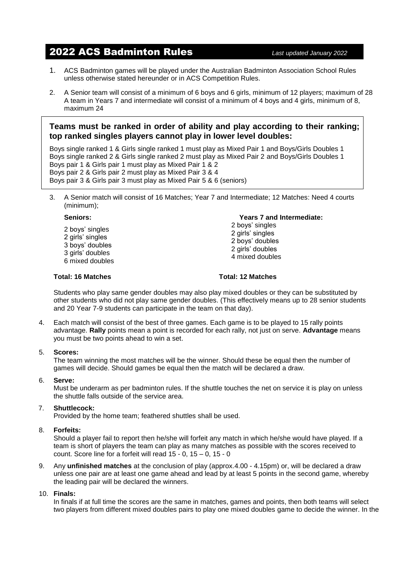# 2022 ACS Badminton Rules *Last updated January <sup>2022</sup>*

- 1. ACS Badminton games will be played under the Australian Badminton Association School Rules unless otherwise stated hereunder or in ACS Competition Rules.
- 2. A Senior team will consist of a minimum of 6 boys and 6 girls, minimum of 12 players; maximum of 28 A team in Years 7 and intermediate will consist of a minimum of 4 boys and 4 girls, minimum of 8, maximum 24

## **Teams must be ranked in order of ability and play according to their ranking; top ranked singles players cannot play in lower level doubles:**

Boys single ranked 1 & Girls single ranked 1 must play as Mixed Pair 1 and Boys/Girls Doubles 1 Boys single ranked 2 & Girls single ranked 2 must play as Mixed Pair 2 and Boys/Girls Doubles 1 Boys pair 1 & Girls pair 1 must play as Mixed Pair 1 & 2 Boys pair 2 & Girls pair 2 must play as Mixed Pair 3 & 4 Boys pair 3 & Girls pair 3 must play as Mixed Pair 5 & 6 (seniors)

3. A Senior match will consist of 16 Matches; Year 7 and Intermediate; 12 Matches: Need 4 courts (minimum);

2 boys' singles 2 girls' singles 3 boys' doubles 3 girls' doubles 6 mixed doubles

#### **Total: 16 Matches Total: 12 Matches**

**Seniors: Years 7 and Intermediate:**

- 2 boys' singles 2 girls' singles 2 boys' doubles 2 girls' doubles 4 mixed doubles
- 

Students who play same gender doubles may also play mixed doubles or they can be substituted by other students who did not play same gender doubles. (This effectively means up to 28 senior students and 20 Year 7-9 students can participate in the team on that day).

4. Each match will consist of the best of three games. Each game is to be played to 15 rally points advantage. **Rally** points mean a point is recorded for each rally, not just on serve. **Advantage** means you must be two points ahead to win a set.

### 5. **Scores:**

The team winning the most matches will be the winner. Should these be equal then the number of games will decide. Should games be equal then the match will be declared a draw.

## 6. **Serve:**

Must be underarm as per badminton rules. If the shuttle touches the net on service it is play on unless the shuttle falls outside of the service area.

## 7. **Shuttlecock:**

Provided by the home team; feathered shuttles shall be used.

## 8. **Forfeits:**

Should a player fail to report then he/she will forfeit any match in which he/she would have played. If a team is short of players the team can play as many matches as possible with the scores received to count. Score line for a forfeit will read 15 - 0, 15 – 0, 15 - 0

9. Any **unfinished matches** at the conclusion of play (approx.4.00 - 4.15pm) or, will be declared a draw unless one pair are at least one game ahead and lead by at least 5 points in the second game, whereby the leading pair will be declared the winners.

#### 10. **Finals:**

In finals if at full time the scores are the same in matches, games and points, then both teams will select two players from different mixed doubles pairs to play one mixed doubles game to decide the winner. In the